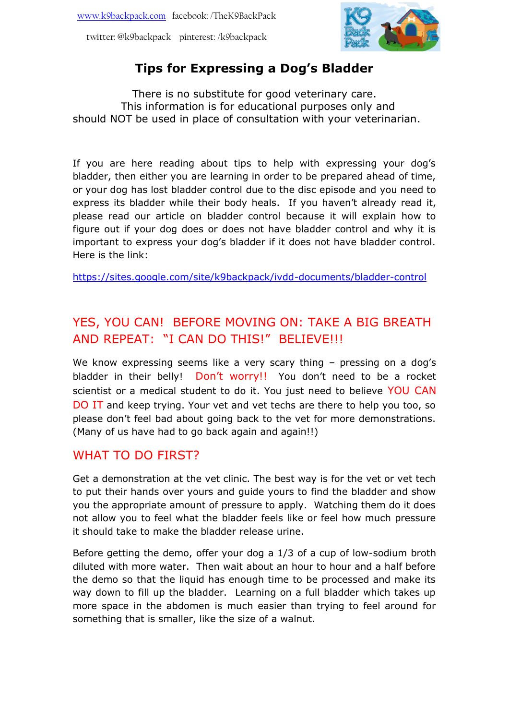

# **Tips for Expressing a Dog's Bladder**

There is no substitute for good veterinary care. This information is for educational purposes only and should NOT be used in place of consultation with your veterinarian.

If you are here reading about tips to help with expressing your dog's bladder, then either you are learning in order to be prepared ahead of time, or your dog has lost bladder control due to the disc episode and you need to express its bladder while their body heals. If you haven't already read it, please read our article on bladder control because it will explain how to figure out if your dog does or does not have bladder control and why it is important to express your dog's bladder if it does not have bladder control. Here is the link:

<https://sites.google.com/site/k9backpack/ivdd-documents/bladder-control>

# YES, YOU CAN! BEFORE MOVING ON: TAKE A BIG BREATH AND REPEAT: "I CAN DO THIS!" BELIEVE!!!

We know expressing seems like a very scary thing - pressing on a dog's bladder in their belly! Don't worry!! You don't need to be a rocket scientist or a medical student to do it. You just need to believe YOU CAN DO IT and keep trying. Your vet and vet techs are there to help you too, so please don't feel bad about going back to the vet for more demonstrations. (Many of us have had to go back again and again!!)

## WHAT TO DO FIRST?

Get a demonstration at the vet clinic. The best way is for the vet or vet tech to put their hands over yours and guide yours to find the bladder and show you the appropriate amount of pressure to apply. Watching them do it does not allow you to feel what the bladder feels like or feel how much pressure it should take to make the bladder release urine.

Before getting the demo, offer your dog a 1/3 of a cup of low-sodium broth diluted with more water. Then wait about an hour to hour and a half before the demo so that the liquid has enough time to be processed and make its way down to fill up the bladder. Learning on a full bladder which takes up more space in the abdomen is much easier than trying to feel around for something that is smaller, like the size of a walnut.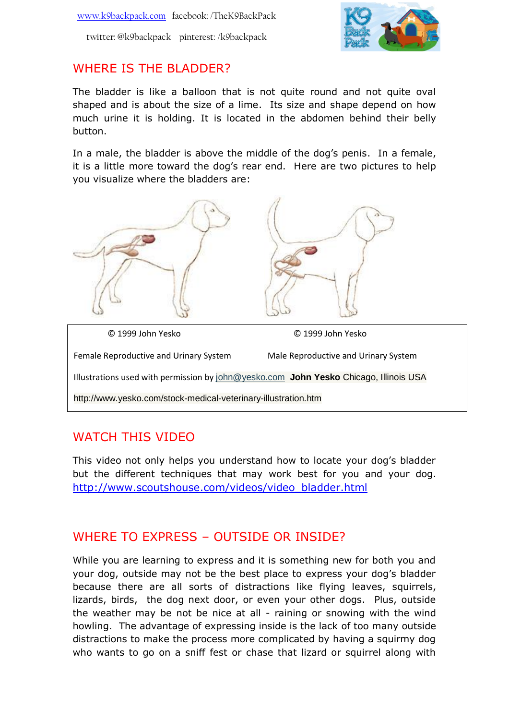

#### WHERE IS THE BLADDER?

The bladder is like a balloon that is not quite round and not quite oval shaped and is about the size of a lime. Its size and shape depend on how much urine it is holding. It is located in the abdomen behind their belly button.

In a male, the bladder is above the middle of the dog's penis. In a female, it is a little more toward the dog's rear end. Here are two pictures to help you visualize where the bladders are:



#### WATCH THIS VIDEO

This video not only helps you understand how to locate your dog's bladder but the different techniques that may work best for you and your dog. [http://www.scoutshouse.com/videos/video\\_bladder.html](http://www.scoutshouse.com/videos/video_bladder.html)

## WHERE TO EXPRESS – OUTSIDE OR INSIDE?

While you are learning to express and it is something new for both you and your dog, outside may not be the best place to express your dog's bladder because there are all sorts of distractions like flying leaves, squirrels, lizards, birds, the dog next door, or even your other dogs. Plus, outside the weather may be not be nice at all - raining or snowing with the wind howling. The advantage of expressing inside is the lack of too many outside distractions to make the process more complicated by having a squirmy dog who wants to go on a sniff fest or chase that lizard or squirrel along with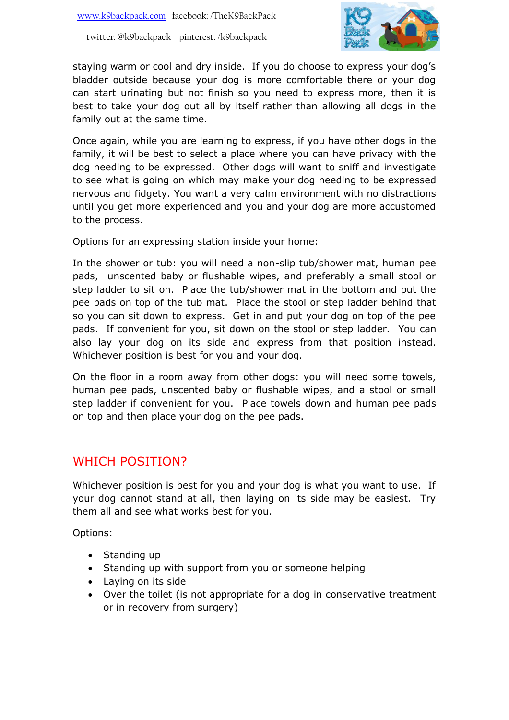

staying warm or cool and dry inside. If you do choose to express your dog's bladder outside because your dog is more comfortable there or your dog can start urinating but not finish so you need to express more, then it is best to take your dog out all by itself rather than allowing all dogs in the family out at the same time.

Once again, while you are learning to express, if you have other dogs in the family, it will be best to select a place where you can have privacy with the dog needing to be expressed. Other dogs will want to sniff and investigate to see what is going on which may make your dog needing to be expressed nervous and fidgety. You want a very calm environment with no distractions until you get more experienced and you and your dog are more accustomed to the process.

Options for an expressing station inside your home:

In the shower or tub: you will need a non-slip tub/shower mat, human pee pads, unscented baby or flushable wipes, and preferably a small stool or step ladder to sit on. Place the tub/shower mat in the bottom and put the pee pads on top of the tub mat. Place the stool or step ladder behind that so you can sit down to express. Get in and put your dog on top of the pee pads. If convenient for you, sit down on the stool or step ladder. You can also lay your dog on its side and express from that position instead. Whichever position is best for you and your dog.

On the floor in a room away from other dogs: you will need some towels, human pee pads, unscented baby or flushable wipes, and a stool or small step ladder if convenient for you. Place towels down and human pee pads on top and then place your dog on the pee pads.

#### WHICH POSITION?

Whichever position is best for you and your dog is what you want to use. If your dog cannot stand at all, then laying on its side may be easiest. Try them all and see what works best for you.

Options:

- Standing up
- Standing up with support from you or someone helping
- Laying on its side
- Over the toilet (is not appropriate for a dog in conservative treatment or in recovery from surgery)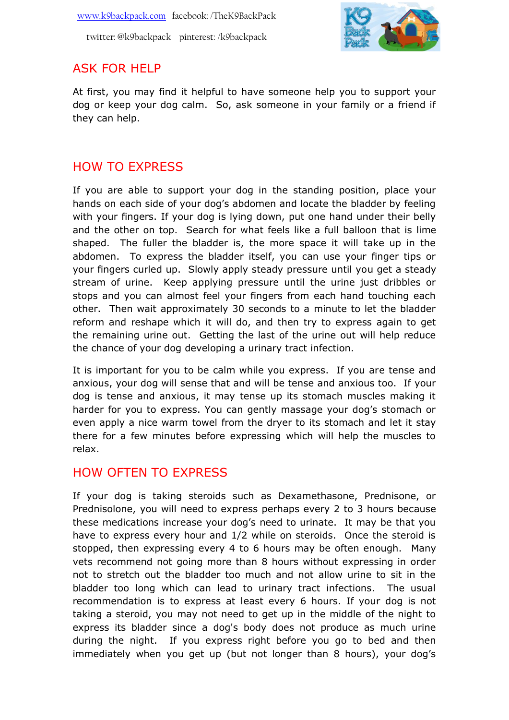

## ASK FOR HELP

At first, you may find it helpful to have someone help you to support your dog or keep your dog calm. So, ask someone in your family or a friend if they can help.

# HOW TO EXPRESS

If you are able to support your dog in the standing position, place your hands on each side of your dog's abdomen and locate the bladder by feeling with your fingers. If your dog is lying down, put one hand under their belly and the other on top. Search for what feels like a full balloon that is lime shaped. The fuller the bladder is, the more space it will take up in the abdomen. To express the bladder itself, you can use your finger tips or your fingers curled up. Slowly apply steady pressure until you get a steady stream of urine. Keep applying pressure until the urine just dribbles or stops and you can almost feel your fingers from each hand touching each other. Then wait approximately 30 seconds to a minute to let the bladder reform and reshape which it will do, and then try to express again to get the remaining urine out. Getting the last of the urine out will help reduce the chance of your dog developing a urinary tract infection.

It is important for you to be calm while you express. If you are tense and anxious, your dog will sense that and will be tense and anxious too. If your dog is tense and anxious, it may tense up its stomach muscles making it harder for you to express. You can gently massage your dog's stomach or even apply a nice warm towel from the dryer to its stomach and let it stay there for a few minutes before expressing which will help the muscles to relax.

## HOW OFTEN TO EXPRESS

If your dog is taking steroids such as Dexamethasone, Prednisone, or Prednisolone, you will need to express perhaps every 2 to 3 hours because these medications increase your dog's need to urinate. It may be that you have to express every hour and 1/2 while on steroids. Once the steroid is stopped, then expressing every 4 to 6 hours may be often enough. Many vets recommend not going more than 8 hours without expressing in order not to stretch out the bladder too much and not allow urine to sit in the bladder too long which can lead to urinary tract infections. The usual recommendation is to express at least every 6 hours. If your dog is not taking a steroid, you may not need to get up in the middle of the night to express its bladder since a dog's body does not produce as much urine during the night. If you express right before you go to bed and then immediately when you get up (but not longer than 8 hours), your dog's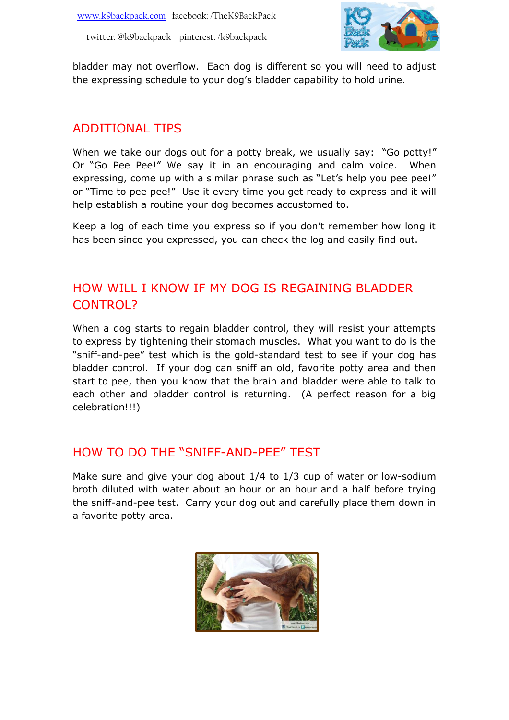

bladder may not overflow. Each dog is different so you will need to adjust the expressing schedule to your dog's bladder capability to hold urine.

## ADDITIONAL TIPS

When we take our dogs out for a potty break, we usually say: "Go potty!" Or "Go Pee Pee!" We say it in an encouraging and calm voice. When expressing, come up with a similar phrase such as "Let's help you pee pee!" or "Time to pee pee!" Use it every time you get ready to express and it will help establish a routine your dog becomes accustomed to.

Keep a log of each time you express so if you don't remember how long it has been since you expressed, you can check the log and easily find out.

# HOW WILL I KNOW IF MY DOG IS REGAINING BLADDER CONTROL?

When a dog starts to regain bladder control, they will resist your attempts to express by tightening their stomach muscles. What you want to do is the "sniff-and-pee" test which is the gold-standard test to see if your dog has bladder control. If your dog can sniff an old, favorite potty area and then start to pee, then you know that the brain and bladder were able to talk to each other and bladder control is returning. (A perfect reason for a big celebration!!!)

#### HOW TO DO THE "SNIFF-AND-PEE" TEST

Make sure and give your dog about 1/4 to 1/3 cup of water or low-sodium broth diluted with water about an hour or an hour and a half before trying the sniff-and-pee test. Carry your dog out and carefully place them down in a favorite potty area.

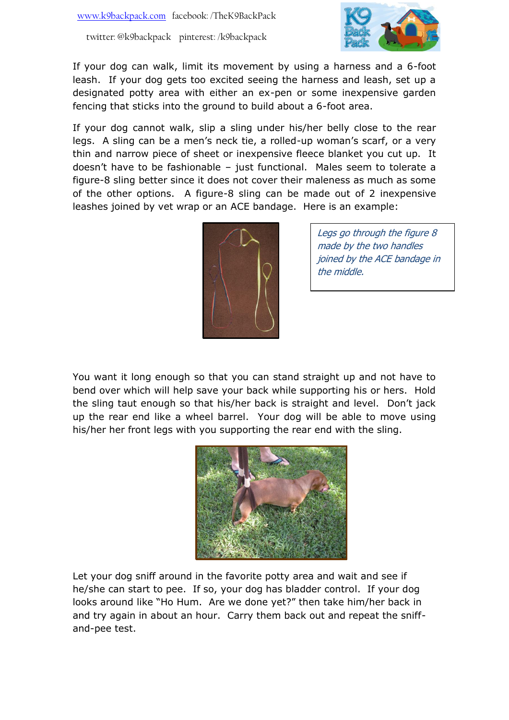

If your dog can walk, limit its movement by using a harness and a 6-foot leash. If your dog gets too excited seeing the harness and leash, set up a designated potty area with either an ex-pen or some inexpensive garden fencing that sticks into the ground to build about a 6-foot area.

If your dog cannot walk, slip a sling under his/her belly close to the rear legs. A sling can be a men's neck tie, a rolled-up woman's scarf, or a very thin and narrow piece of sheet or inexpensive fleece blanket you cut up. It doesn't have to be fashionable – just functional. Males seem to tolerate a figure-8 sling better since it does not cover their maleness as much as some of the other options. A figure-8 sling can be made out of 2 inexpensive leashes joined by vet wrap or an ACE bandage. Here is an example:



Legs go through the figure 8 made by the two handles joined by the ACE bandage in the middle.

You want it long enough so that you can stand straight up and not have to bend over which will help save your back while supporting his or hers. Hold the sling taut enough so that his/her back is straight and level. Don't jack up the rear end like a wheel barrel. Your dog will be able to move using his/her her front legs with you supporting the rear end with the sling.



Let your dog sniff around in the favorite potty area and wait and see if he/she can start to pee. If so, your dog has bladder control. If your dog looks around like "Ho Hum. Are we done yet?" then take him/her back in and try again in about an hour. Carry them back out and repeat the sniffand-pee test.